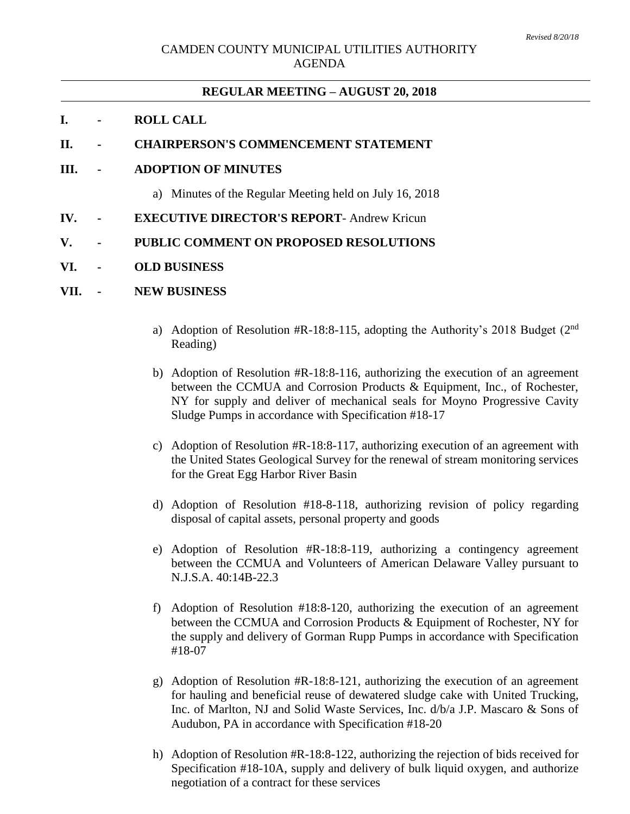# **REGULAR MEETING – AUGUST 20, 2018**

## **I. - ROLL CALL**

## **II. - CHAIRPERSON'S COMMENCEMENT STATEMENT**

## **III. - ADOPTION OF MINUTES**

- a) Minutes of the Regular Meeting held on July 16, 2018
- **IV. - EXECUTIVE DIRECTOR'S REPORT** Andrew Kricun

#### **V. - PUBLIC COMMENT ON PROPOSED RESOLUTIONS**

#### **VI. - OLD BUSINESS**

#### **VII. - NEW BUSINESS**

- a) Adoption of Resolution #R-18:8-115, adopting the Authority's 2018 Budget  $(2<sup>nd</sup>$ Reading)
- b) Adoption of Resolution #R-18:8-116, authorizing the execution of an agreement between the CCMUA and Corrosion Products & Equipment, Inc., of Rochester, NY for supply and deliver of mechanical seals for Moyno Progressive Cavity Sludge Pumps in accordance with Specification #18-17
- c) Adoption of Resolution #R-18:8-117, authorizing execution of an agreement with the United States Geological Survey for the renewal of stream monitoring services for the Great Egg Harbor River Basin
- d) Adoption of Resolution #18-8-118, authorizing revision of policy regarding disposal of capital assets, personal property and goods
- e) Adoption of Resolution #R-18:8-119, authorizing a contingency agreement between the CCMUA and Volunteers of American Delaware Valley pursuant to N.J.S.A. 40:14B-22.3
- f) Adoption of Resolution #18:8-120, authorizing the execution of an agreement between the CCMUA and Corrosion Products & Equipment of Rochester, NY for the supply and delivery of Gorman Rupp Pumps in accordance with Specification #18-07
- g) Adoption of Resolution #R-18:8-121, authorizing the execution of an agreement for hauling and beneficial reuse of dewatered sludge cake with United Trucking, Inc. of Marlton, NJ and Solid Waste Services, Inc. d/b/a J.P. Mascaro & Sons of Audubon, PA in accordance with Specification #18-20
- h) Adoption of Resolution #R-18:8-122, authorizing the rejection of bids received for Specification #18-10A, supply and delivery of bulk liquid oxygen, and authorize negotiation of a contract for these services